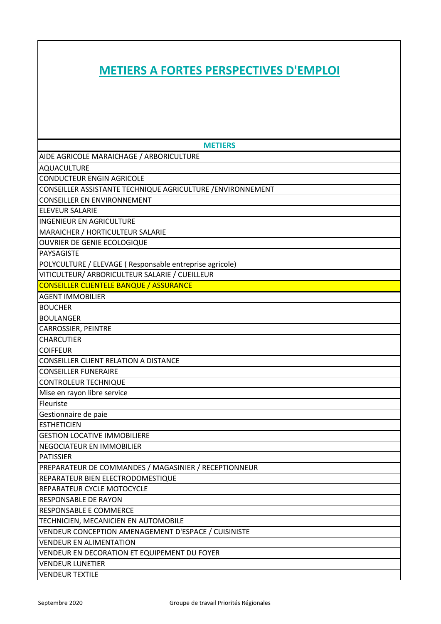## **METIERS A FORTES PERSPECTIVES D'EMPLOI**

| <b>METIERS</b>                                              |
|-------------------------------------------------------------|
| AIDE AGRICOLE MARAICHAGE / ARBORICULTURE                    |
| <b>AQUACULTURE</b>                                          |
| <b>CONDUCTEUR ENGIN AGRICOLE</b>                            |
| CONSEILLER ASSISTANTE TECHNIQUE AGRICULTURE / ENVIRONNEMENT |
| <b>CONSEILLER EN ENVIRONNEMENT</b>                          |
| <b>ELEVEUR SALARIE</b>                                      |
| <b>INGENIEUR EN AGRICULTURE</b>                             |
| MARAICHER / HORTICULTEUR SALARIE                            |
| OUVRIER DE GENIE ECOLOGIQUE                                 |
| PAYSAGISTE                                                  |
| POLYCULTURE / ELEVAGE (Responsable entreprise agricole)     |
| VITICULTEUR/ ARBORICULTEUR SALARIE / CUEILLEUR              |
| <b>CONSEILLER CLIENTELE BANQUE / ASSURANCE</b>              |
| <b>AGENT IMMOBILIER</b>                                     |
| <b>BOUCHER</b>                                              |
| <b>BOULANGER</b>                                            |
| <b>CARROSSIER, PEINTRE</b>                                  |
| <b>CHARCUTIER</b>                                           |
| <b>COIFFEUR</b>                                             |
| <b>CONSEILLER CLIENT RELATION A DISTANCE</b>                |
| <b>CONSEILLER FUNERAIRE</b>                                 |
| <b>CONTROLEUR TECHNIQUE</b>                                 |
| Mise en rayon libre service                                 |
| Fleuriste                                                   |
| Gestionnaire de paie                                        |
| <b>ESTHETICIEN</b>                                          |
| <b>GESTION LOCATIVE IMMOBILIERE</b>                         |
| NEGOCIATEUR EN IMMOBILIER                                   |
| <b>PATISSIER</b>                                            |
| PREPARATEUR DE COMMANDES / MAGASINIER / RECEPTIONNEUR       |
| REPARATEUR BIEN ELECTRODOMESTIQUE                           |
| REPARATEUR CYCLE MOTOCYCLE                                  |
| <b>RESPONSABLE DE RAYON</b>                                 |
| <b>RESPONSABLE E COMMERCE</b>                               |
| TECHNICIEN, MECANICIEN EN AUTOMOBILE                        |
| VENDEUR CONCEPTION AMENAGEMENT D'ESPACE / CUISINISTE        |
| <b>VENDEUR EN ALIMENTATION</b>                              |
| VENDEUR EN DECORATION ET EQUIPEMENT DU FOYER                |
| <b>VENDEUR LUNETIER</b>                                     |
| <b>VENDEUR TEXTILE</b>                                      |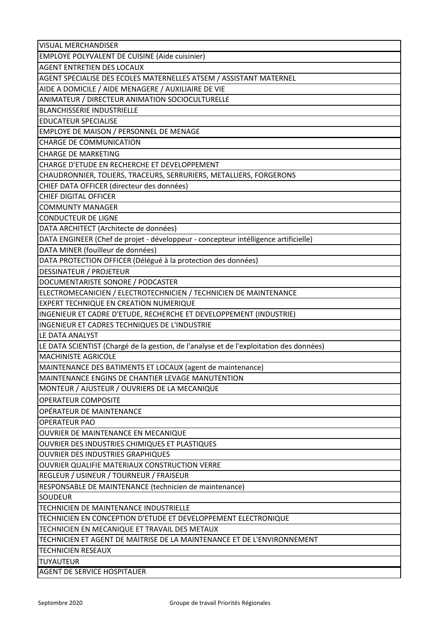| <b>VISUAL MERCHANDISER</b>                                                              |
|-----------------------------------------------------------------------------------------|
| <b>EMPLOYE POLYVALENT DE CUISINE (Aide cuisinier)</b>                                   |
| <b>AGENT ENTRETIEN DES LOCAUX</b>                                                       |
| AGENT SPECIALISE DES ECOLES MATERNELLES ATSEM / ASSISTANT MATERNEL                      |
| AIDE A DOMICILE / AIDE MENAGERE / AUXILIAIRE DE VIE                                     |
| ANIMATEUR / DIRECTEUR ANIMATION SOCIOCULTURELLE                                         |
| <b>BLANCHISSERIE INDUSTRIELLE</b>                                                       |
| <b>EDUCATEUR SPECIALISE</b>                                                             |
| EMPLOYE DE MAISON / PERSONNEL DE MENAGE                                                 |
| <b>CHARGE DE COMMUNICATION</b>                                                          |
| <b>CHARGE DE MARKETING</b>                                                              |
| CHARGE D'ETUDE EN RECHERCHE ET DEVELOPPEMENT                                            |
| CHAUDRONNIER, TOLIERS, TRACEURS, SERRURIERS, METALLIERS, FORGERONS                      |
| CHIEF DATA OFFICER (directeur des données)                                              |
| <b>CHIEF DIGITAL OFFICER</b>                                                            |
| <b>COMMUNTY MANAGER</b>                                                                 |
| <b>CONDUCTEUR DE LIGNE</b>                                                              |
| DATA ARCHITECT (Architecte de données)                                                  |
| DATA ENGINEER (Chef de projet - développeur - concepteur intélligence artificielle)     |
| DATA MINER (fouilleur de données)                                                       |
| DATA PROTECTION OFFICER (Délégué à la protection des données)                           |
| <b>DESSINATEUR / PROJETEUR</b>                                                          |
| DOCUMENTARISTE SONORE / PODCASTER                                                       |
| ELECTROMECANICIEN / ELECTROTECHNICIEN / TECHNICIEN DE MAINTENANCE                       |
| EXPERT TECHNIQUE EN CREATION NUMERIQUE                                                  |
| INGENIEUR ET CADRE D'ETUDE, RECHERCHE ET DEVELOPPEMENT (INDUSTRIE)                      |
| INGENIEUR ET CADRES TECHNIQUES DE L'INDUSTRIE                                           |
| LE DATA ANALYST                                                                         |
| LE DATA SCIENTIST (Chargé de la gestion, de l'analyse et de l'exploitation des données) |
| <b>MACHINISTE AGRICOLE</b>                                                              |
| MAINTENANCE DES BATIMENTS ET LOCAUX (agent de maintenance)                              |
| MAINTENANCE ENGINS DE CHANTIER LEVAGE MANUTENTION                                       |
| MONTEUR / AJUSTEUR / OUVRIERS DE LA MECANIQUE                                           |
| <b>OPERATEUR COMPOSITE</b>                                                              |
| OPÉRATEUR DE MAINTENANCE                                                                |
| <b>OPERATEUR PAO</b>                                                                    |
| OUVRIER DE MAINTENANCE EN MECANIQUE                                                     |
| OUVRIER DES INDUSTRIES CHIMIQUES ET PLASTIQUES                                          |
| <b>OUVRIER DES INDUSTRIES GRAPHIQUES</b>                                                |
| OUVRIER QUALIFIE MATERIAUX CONSTRUCTION VERRE                                           |
| REGLEUR / USINEUR / TOURNEUR / FRAISEUR                                                 |
| RESPONSABLE DE MAINTENANCE (technicien de maintenance)                                  |
| ISOUDEUR                                                                                |
| TECHNICIEN DE MAINTENANCE INDUSTRIELLE                                                  |
| TECHNICIEN EN CONCEPTION D'ETUDE ET DEVELOPPEMENT ELECTRONIQUE                          |
| TECHNICIEN EN MECANIQUE ET TRAVAIL DES METAUX                                           |
| TECHNICIEN ET AGENT DE MAITRISE DE LA MAINTENANCE ET DE L'ENVIRONNEMENT                 |
| <b>TECHNICIEN RESEAUX</b>                                                               |
| <b>TUYAUTEUR</b>                                                                        |
| <b>AGENT DE SERVICE HOSPITALIER</b>                                                     |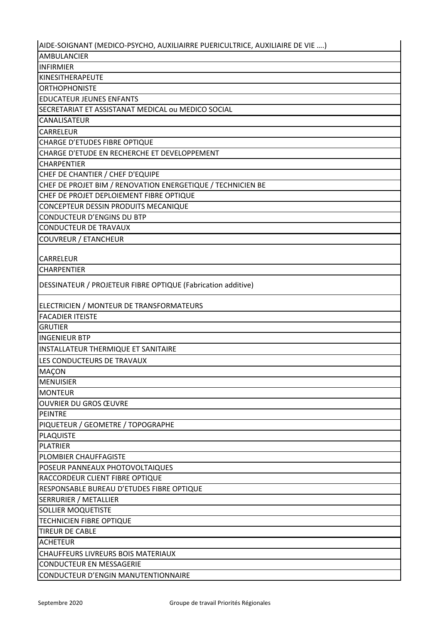| AIDE-SOIGNANT (MEDICO-PSYCHO, AUXILIAIRRE PUERICULTRICE, AUXILIAIRE DE VIE ) |
|------------------------------------------------------------------------------|
| AMBULANCIER                                                                  |
| <b>INFIRMIER</b>                                                             |
| <b>KINESITHERAPEUTE</b>                                                      |
| <b>ORTHOPHONISTE</b>                                                         |
| <b>EDUCATEUR JEUNES ENFANTS</b>                                              |
| SECRETARIAT ET ASSISTANAT MEDICAL ou MEDICO SOCIAL                           |
| <b>CANALISATEUR</b>                                                          |
| <b>CARRELEUR</b>                                                             |
| CHARGE D'ETUDES FIBRE OPTIQUE                                                |
| CHARGE D'ETUDE EN RECHERCHE ET DEVELOPPEMENT                                 |
| <b>CHARPENTIER</b>                                                           |
| CHEF DE CHANTIER / CHEF D'EQUIPE                                             |
| CHEF DE PROJET BIM / RENOVATION ENERGETIQUE / TECHNICIEN BE                  |
| CHEF DE PROJET DEPLOIEMENT FIBRE OPTIQUE                                     |
| CONCEPTEUR DESSIN PRODUITS MECANIQUE                                         |
| CONDUCTEUR D'ENGINS DU BTP                                                   |
| CONDUCTEUR DE TRAVAUX                                                        |
| <b>COUVREUR / ETANCHEUR</b>                                                  |
| CARRELEUR                                                                    |
| <b>CHARPENTIER</b>                                                           |
| DESSINATEUR / PROJETEUR FIBRE OPTIQUE (Fabrication additive)                 |
| ELECTRICIEN / MONTEUR DE TRANSFORMATEURS                                     |
| <b>FACADIER ITEISTE</b>                                                      |
| <b>GRUTIER</b>                                                               |
| <b>INGENIEUR BTP</b>                                                         |
| INSTALLATEUR THERMIQUE ET SANITAIRE                                          |
| LES CONDUCTEURS DE TRAVAUX                                                   |
| <b>MAÇON</b>                                                                 |
| <b>MENUISIER</b>                                                             |
| <b>MONTEUR</b>                                                               |
| <b>OUVRIER DU GROS ŒUVRE</b>                                                 |
| <b>PEINTRE</b>                                                               |
| PIQUETEUR / GEOMETRE / TOPOGRAPHE                                            |
| <b>PLAQUISTE</b>                                                             |
| <b>PLATRIER</b>                                                              |
| PLOMBIER CHAUFFAGISTE                                                        |
| POSEUR PANNEAUX PHOTOVOLTAIQUES                                              |
| RACCORDEUR CLIENT FIBRE OPTIQUE                                              |
| RESPONSABLE BUREAU D'ETUDES FIBRE OPTIQUE                                    |
| <b>SERRURIER / METALLIER</b>                                                 |
| <b>SOLLIER MOQUETISTE</b>                                                    |
| TECHNICIEN FIBRE OPTIQUE                                                     |
| <b>TIREUR DE CABLE</b>                                                       |
| <b>ACHETEUR</b>                                                              |
| CHAUFFEURS LIVREURS BOIS MATERIAUX                                           |
| <b>CONDUCTEUR EN MESSAGERIE</b>                                              |
| CONDUCTEUR D'ENGIN MANUTENTIONNAIRE                                          |